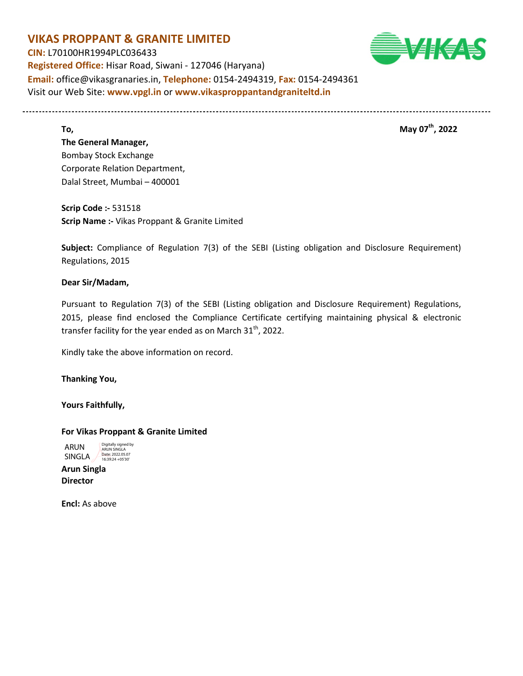## **VIKAS PROPPANT & GRANITE LIMITED CIN:** L70100HR1994PLC036433 **Registered Office:** Hisar Road, Siwani - 127046 (Haryana) **Email:** office@vikasgranaries.in, **Telephone:** 0154-2494319, **Fax:** 0154-2494361 Visit our Web Site: **www.vpgl.in** or **www.vikasproppantandgraniteltd.in**

**To, the contract of the contract of the contract of the contract of the contract of the contract of the contract of the contract of the contract of the contract of the contract of the contract of the contract of the cont** 

# **The General Manager,**  Bombay Stock Exchange Corporate Relation Department, Dalal Street, Mumbai – 400001

**Scrip Code :-** 531518 **Scrip Name :-** Vikas Proppant & Granite Limited

**Subject:** Compliance of Regulation 7(3) of the SEBI (Listing obligation and Disclosure Requirement) Regulations, 2015

### **Dear Sir/Madam,**

Pursuant to Regulation 7(3) of the SEBI (Listing obligation and Disclosure Requirement) Regulations, 2015, please find enclosed the Compliance Certificate certifying maintaining physical & electronic transfer facility for the year ended as on March  $31<sup>th</sup>$ , 2022.

Kindly take the above information on record.

### **Thanking You,**

**Yours Faithfully,** 

#### **For Vikas Proppant & Granite Limited**

ARUN ARUN SINGLA<br>SINGLA <sub>16:39:24 +05'30'</sub> Digitally signed by

**Arun Singla Director** 

**Encl:** As above